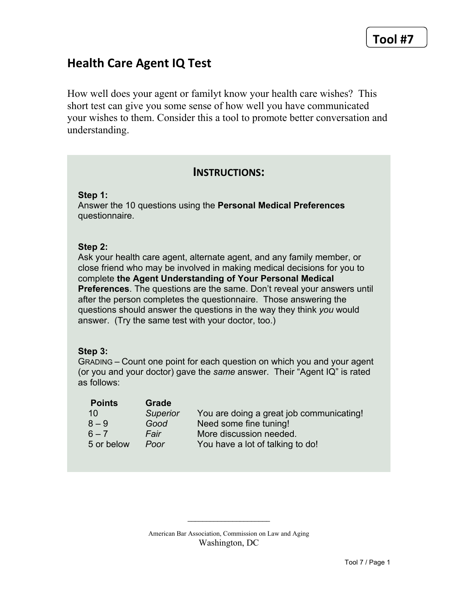# **Health Care Agent IQ Test**

How well does your agent or familyt know your health care wishes? This short test can give you some sense of how well you have communicated your wishes to them. Consider this a tool to promote better conversation and understanding.

## **INSTRUCTIONS:**

**Step 1:**

Answer the 10 questions using the **Personal Medical Preferences** questionnaire.

#### **Step 2:**

Ask your health care agent, alternate agent, and any family member, or close friend who may be involved in making medical decisions for you to complete **the Agent Understanding of Your Personal Medical Preferences**. The questions are the same. Don't reveal your answers until after the person completes the questionnaire. Those answering the questions should answer the questions in the way they think *you* would answer. (Try the same test with your doctor, too.)

#### **Step 3:**

GRADING – Count one point for each question on which you and your agent (or you and your doctor) gave the *same* answer. Their "Agent IQ" is rated as follows:

| <b>Points</b> | Grade           |                                          |
|---------------|-----------------|------------------------------------------|
| 10            | <b>Superior</b> | You are doing a great job communicating! |
| $8 - 9$       | Good            | Need some fine tuning!                   |
| $6 - 7$       | Fair            | More discussion needed.                  |
| 5 or below    | Poor            | You have a lot of talking to do!         |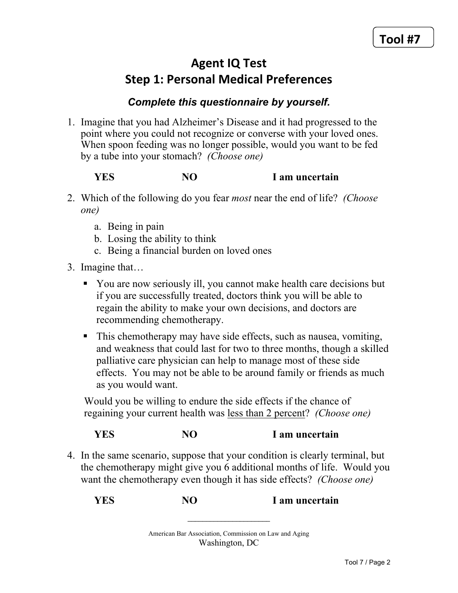# **Agent IQ Test Step 1: Personal Medical Preferences**

# *Complete this questionnaire by yourself.*

1. Imagine that you had Alzheimer's Disease and it had progressed to the point where you could not recognize or converse with your loved ones. When spoon feeding was no longer possible, would you want to be fed by a tube into your stomach? *(Choose one)* 

## **YES** NO I am uncertain

- 2. Which of the following do you fear *most* near the end of life? *(Choose one)*
	- a. Being in pain
	- b. Losing the ability to think
	- c. Being a financial burden on loved ones
- 3. Imagine that...
	- You are now seriously ill, you cannot make health care decisions but If you are successfully treated, doctors think you will be able to regain the ability to make your own decisions, and doctors are recommending chemotherapy.
	- $\blacksquare$  This chemotherapy may have side effects, such as nausea, vomiting, and weakness that could last for two to three months, though a skilled palliative care physician can help to manage most of these side effects. You may not be able to be around family or friends as much as you would want.

Would you be willing to endure the side effects if the chance of regaining your current health was less than 2 percent? *(Choose one)* 

# **YES** NO I am uncertain

4. In the same scenario, suppose that your condition is clearly terminal, but the chemotherapy might give you 6 additional months of life. Would you want the chemotherapy even though it has side effects? *(Choose one)* 

**YES** NO I am uncertain

American Bar Association, Commission on Law and Aging Washington, DC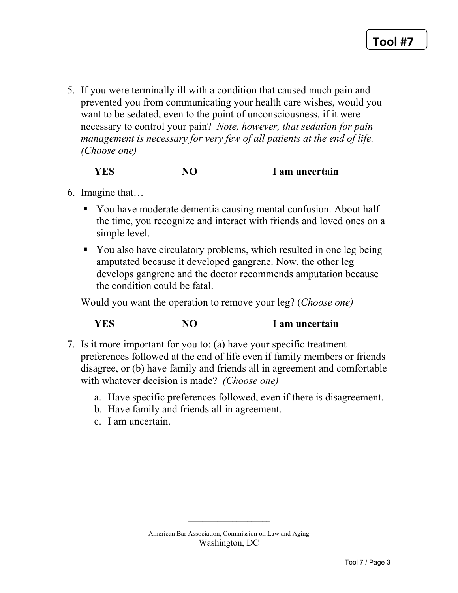5. If you were terminally ill with a condition that caused much pain and prevented you from communicating your health care wishes, would you want to be sedated, even to the point of unconsciousness, if it were necessary to control your pain? *Note, however, that sedation for pain management is necessary for very few of all patients at the end of life. (Choose one)*

**YES** NO I am uncertain

- 6. Imagine that...
	- You have moderate dementia causing mental confusion. About half the time, you recognize and interact with friends and loved ones on a simple level.
	- You also have circulatory problems, which resulted in one leg being amputated because it developed gangrene. Now, the other leg develops gangrene and the doctor recommends amputation because the condition could be fatal.

Would you want the operation to remove your leg? *(Choose one)* 

## **YES** NO I am uncertain

- 7. Is it more important for you to: (a) have your specific treatment preferences followed at the end of life even if family members or friends disagree, or (b) have family and friends all in agreement and comfortable with whatever decision is made? *(Choose one)* 
	- a. Have specific preferences followed, even if there is disagreement.
	- b. Have family and friends all in agreement.
	- $c$ . I am uncertain.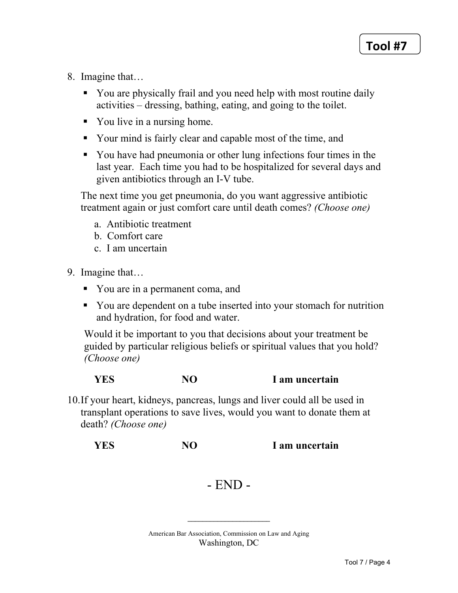- 8. Imagine that...
	- You are physically frail and you need help with most routine daily activities – dressing, bathing, eating, and going to the toilet.
	- You live in a nursing home.
	- Your mind is fairly clear and capable most of the time, and
	- You have had pneumonia or other lung infections four times in the last year. Each time you had to be hospitalized for several days and given antibiotics through an I-V tube.

The next time you get pneumonia, do you want aggressive antibiotic treatment again or just comfort care until death comes? (Choose one)

- a. Antibiotic treatment
- b. Comfort care
- c. I am uncertain
- 9. Imagine that...
	- You are in a permanent coma, and
	- You are dependent on a tube inserted into your stomach for nutrition and hydration, for food and water.

Would it be important to you that decisions about your treatment be. guided by particular religious beliefs or spiritual values that you hold? (Choose one)

**YES NO** I am uncertain

10. If your heart, kidneys, pancreas, lungs and liver could all be used in transplant operations to save lives, would you want to donate them at death? (Choose one)

**YES** NO<sub>1</sub> I am uncertain

# $-$  END  $-$

American Bar Association, Commission on Law and Aging Washington, DC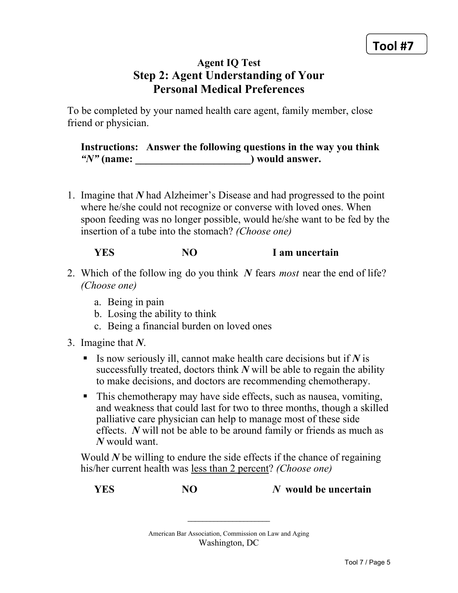# **Agent IQ Test Step 2: Agent Understanding of Your Personal Medical Preferences**

To be completed by your named health care agent, family member, close friend or physician.

**Instructions: Answer the following questions in the way you think**  *"N"* **(name: \_\_\_\_\_\_\_\_\_\_\_\_\_\_\_\_\_\_\_\_\_\_) would answer.** 

1. Imagine that N had Alzheimer's Disease and had progressed to the point where he/she could not recognize or converse with loved ones. When spoon feeding was no longer possible, would he/she want to be fed by the insertion of a tube into the stomach? *(Choose one)* 

## **YES** NO I am uncertain

- 2. Which of the following do you think N fears *most* near the end of life? *(Choose one)*
	- a. Being in pain
	- b. Losing the ability to think
	- c. Being a financial burden on loved ones
- 3. Imagine that  $N$ .
	- $\blacksquare$  Is now seriously ill, cannot make health care decisions but if N is successfully treated, doctors think  $N$  will be able to regain the ability to make decisions, and doctors are recommending chemotherapy.
	- $\blacksquare$  This chemotherapy may have side effects, such as nausea, vomiting, and weakness that could last for two to three months, though a skilled palliative care physician can help to manage most of these side effects. *N* will not be able to be around family or friends as much as *N* would want.

Would  $N$  be willing to endure the side effects if the chance of regaining his/her current health was less than 2 percent? *(Choose one)* 

*NO NO NO N N* would be uncertain

American Bar Association, Commission on Law and Aging Washington, DC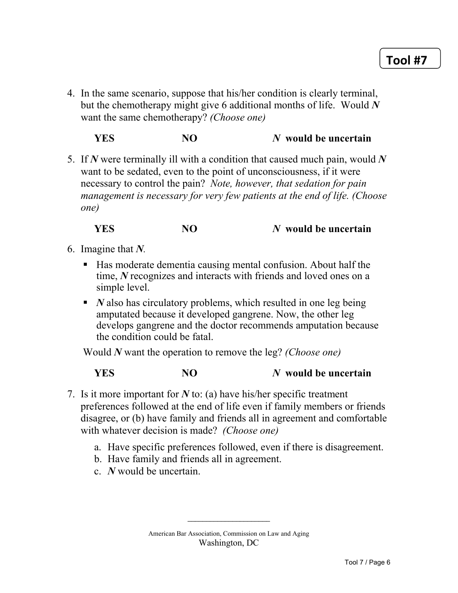4. In the same scenario, suppose that his/her condition is clearly terminal, but the chemotherapy might give 6 additional months of life. Would  $N$ want the same chemotherapy? *(Choose one)* 

**YES** NO *N* **would be uncertain** 

5. If N were terminally ill with a condition that caused much pain, would N want to be sedated, even to the point of unconsciousness, if it were necessary to control the pain? *Note, however, that sedation for pain management is necessary for very few patients at the end of life. (Choose one)*

**YES** NO *N* **would be uncertain** 

- 6. Imagine that N.
	- Has moderate dementia causing mental confusion. About half the time, N recognizes and interacts with friends and loved ones on a simple level.
	- $\blacksquare$  *N* also has circulatory problems, which resulted in one leg being amputated because it developed gangrene. Now, the other leg develops gangrene and the doctor recommends amputation because the condition could be fatal.

*Would N* want the operation to remove the leg? *(Choose one)* 

**YES** NO *N* **would be uncertain** 

- 7. Is it more important for  $N$  to: (a) have his/her specific treatment preferences followed at the end of life even if family members or friends disagree, or (b) have family and friends all in agreement and comfortable with whatever decision is made? *(Choose one)* 
	- a. Have specific preferences followed, even if there is disagreement.
	- b. Have family and friends all in agreement.
	- $c$  *N* would be uncertain